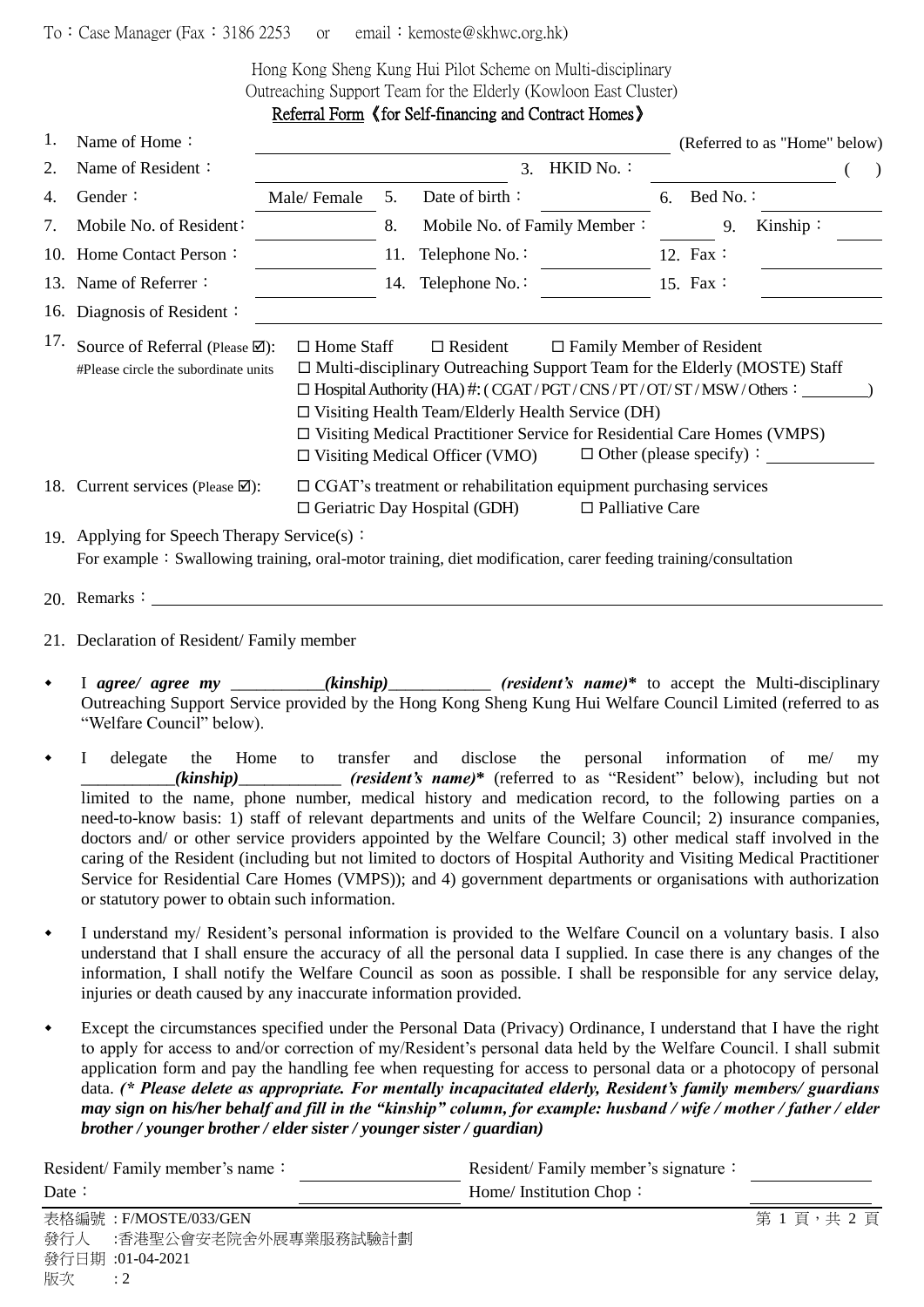## To: Case Manager (Fax: 3186 2253 or email: kemoste@skhwc.org.hk)

Hong Kong Sheng Kung Hui Pilot Scheme on Multi-disciplinary Outreaching Support Team for the Elderly (Kowloon East Cluster) Referral Form 《for Self-financing and Contract Homes》

| 1.  | Name of Home:                                                                                                                                                                                                                                                                                                                                                                                                                                                                                                                          |                                                                                                                                                              |     |                                                                                                                |                        |    |          | (Referred to as "Home" below) |  |
|-----|----------------------------------------------------------------------------------------------------------------------------------------------------------------------------------------------------------------------------------------------------------------------------------------------------------------------------------------------------------------------------------------------------------------------------------------------------------------------------------------------------------------------------------------|--------------------------------------------------------------------------------------------------------------------------------------------------------------|-----|----------------------------------------------------------------------------------------------------------------|------------------------|----|----------|-------------------------------|--|
| 2.  | Name of Resident:                                                                                                                                                                                                                                                                                                                                                                                                                                                                                                                      |                                                                                                                                                              |     | 3 <sub>1</sub>                                                                                                 | HKID No.:              |    |          |                               |  |
| 4.  | Gender:                                                                                                                                                                                                                                                                                                                                                                                                                                                                                                                                | Male/Female                                                                                                                                                  | 5.  | Date of birth:                                                                                                 |                        | 6. | Bed No.: |                               |  |
| 7.  | Mobile No. of Resident:                                                                                                                                                                                                                                                                                                                                                                                                                                                                                                                |                                                                                                                                                              | 8.  | Mobile No. of Family Member:                                                                                   |                        |    | 9.       | Kinship:                      |  |
|     | 10. Home Contact Person:                                                                                                                                                                                                                                                                                                                                                                                                                                                                                                               |                                                                                                                                                              | 11. | Telephone No.:                                                                                                 |                        |    | 12. Fax: |                               |  |
|     | 13. Name of Referrer:                                                                                                                                                                                                                                                                                                                                                                                                                                                                                                                  |                                                                                                                                                              | 14. | Telephone No.:                                                                                                 |                        |    | 15. Fax: |                               |  |
|     | 16. Diagnosis of Resident:                                                                                                                                                                                                                                                                                                                                                                                                                                                                                                             |                                                                                                                                                              |     |                                                                                                                |                        |    |          |                               |  |
| 17. | Source of Referral (Please Ø):<br>$\Box$ Home Staff<br>$\Box$ Family Member of Resident<br>$\Box$ Resident<br>$\Box$ Multi-disciplinary Outreaching Support Team for the Elderly (MOSTE) Staff<br>#Please circle the subordinate units<br>$\Box$ Hospital Authority (HA) #: (CGAT/PGT/CNS/PT/OT/ST/MSW/Others:<br>$\Box$ Visiting Health Team/Elderly Health Service (DH)<br>$\Box$ Visiting Medical Practitioner Service for Residential Care Homes (VMPS)<br>$\Box$ Other (please specify):<br>$\Box$ Visiting Medical Officer (VMO) |                                                                                                                                                              |     |                                                                                                                |                        |    |          |                               |  |
|     | 18. Current services (Please $\boxtimes$ ):                                                                                                                                                                                                                                                                                                                                                                                                                                                                                            |                                                                                                                                                              |     | $\Box$ CGAT's treatment or rehabilitation equipment purchasing services<br>$\Box$ Geriatric Day Hospital (GDH) | $\Box$ Palliative Care |    |          |                               |  |
|     |                                                                                                                                                                                                                                                                                                                                                                                                                                                                                                                                        | 19. Applying for Speech Therapy Service(s):<br>For example: Swallowing training, oral-motor training, diet modification, carer feeding training/consultation |     |                                                                                                                |                        |    |          |                               |  |

- 20. Remarks:
- 21. Declaration of Resident/ Family member
- I *agree/ agree my (kinship)* (*resident's name*)<sup>\*</sup> to accept the Multi-disciplinary Outreaching Support Service provided by the Hong Kong Sheng Kung Hui Welfare Council Limited (referred to as "Welfare Council" below).
- I delegate the Home to transfer and disclose the personal information of me/ my \_\_\_\_\_\_\_\_\_\_\_*(kinship)*\_\_\_\_\_\_\_\_\_\_\_\_ *(resident's name)***\*** (referred to as "Resident" below), including but not limited to the name, phone number, medical history and medication record, to the following parties on a need-to-know basis: 1) staff of relevant departments and units of the Welfare Council; 2) insurance companies, doctors and/ or other service providers appointed by the Welfare Council; 3) other medical staff involved in the caring of the Resident (including but not limited to doctors of Hospital Authority and Visiting Medical Practitioner Service for Residential Care Homes (VMPS)); and 4) government departments or organisations with authorization or statutory power to obtain such information.
- I understand my/ Resident's personal information is provided to the Welfare Council on a voluntary basis. I also understand that I shall ensure the accuracy of all the personal data I supplied. In case there is any changes of the information, I shall notify the Welfare Council as soon as possible. I shall be responsible for any service delay, injuries or death caused by any inaccurate information provided.
- Except the circumstances specified under the Personal Data (Privacy) Ordinance, I understand that I have the right to apply for access to and/or correction of my/Resident's personal data held by the Welfare Council. I shall submit application form and pay the handling fee when requesting for access to personal data or a photocopy of personal data. *(\* Please delete as appropriate. For mentally incapacitated elderly, Resident's family members/ guardians may sign on his/her behalf and fill in the "kinship" column, for example: husband / wife / mother / father / elder brother / younger brother / elder sister / younger sister / guardian)*

| Resident/Family member's name: |                          | Resident/Family member's signature: |         |
|--------------------------------|--------------------------|-------------------------------------|---------|
| Date $\colon$                  |                          | Home/ Institution Chop:             |         |
|                                | 表格編號: F/MOSTE/033/GEN    |                                     | 第1頁,共2頁 |
|                                | 發行人 :香港聖公會安老院舍外展專業服務試驗計劃 |                                     |         |
|                                | 發行日期:01-04-2021          |                                     |         |
| 版次                             | $\therefore$ 2           |                                     |         |